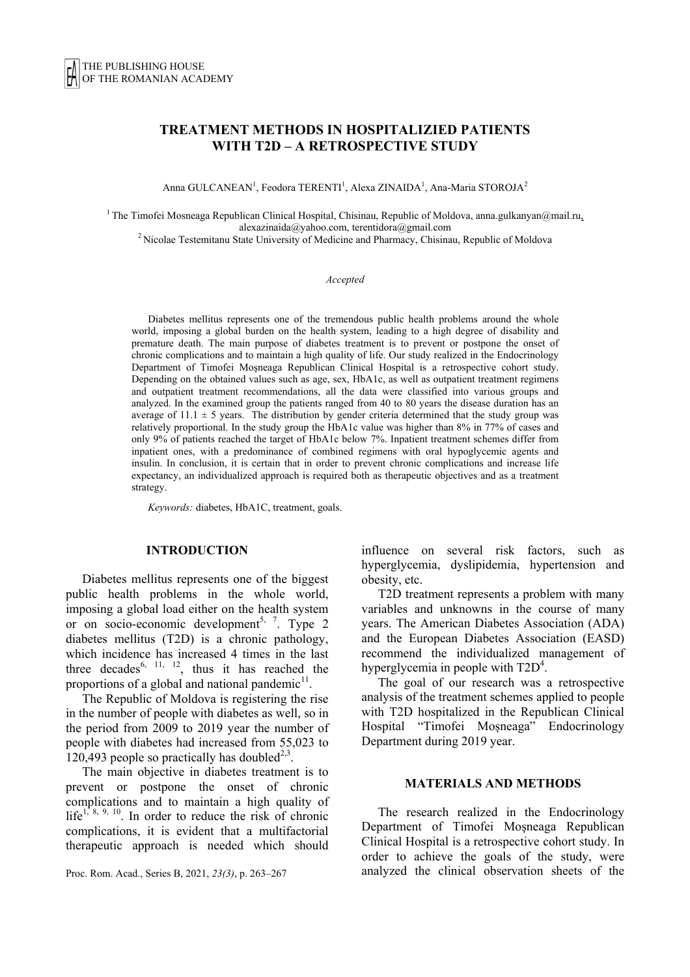# **TREATMENT METHODS IN HOSPITALIZIED PATIENTS WITH T2D – A RETROSPECTIVE STUDY**

Anna GULCANEAN<sup>1</sup>, Feodora TERENTI<sup>1</sup>, Alexa ZINAIDA<sup>1</sup>, Ana-Maria STOROJA<sup>2</sup>

<sup>1</sup> The Timofei Mosneaga Republican Clinical Hospital, Chisinau, Republic of Moldova, anna.gulkanyan@mail.ru, alexazinaida@yahoo.com, terentidora@gmail.com<br><sup>2</sup> Nicolae Testemitanu State University of Medicine and Pharmacy, Chisinau, Republic of Moldova

#### *Accepted*

Diabetes mellitus represents one of the tremendous public health problems around the whole world, imposing a global burden on the health system, leading to a high degree of disability and premature death. The main purpose of diabetes treatment is to prevent or postpone the onset of chronic complications and to maintain a high quality of life. Our study realized in the Endocrinology Department of Timofei Moşneaga Republican Clinical Hospital is a retrospective cohort study. Depending on the obtained values such as age, sex, HbA1c, as well as outpatient treatment regimens and outpatient treatment recommendations, all the data were classified into various groups and analyzed. In the examined group the patients ranged from 40 to 80 years the disease duration has an average of  $11.1 \pm 5$  years. The distribution by gender criteria determined that the study group was relatively proportional. In the study group the HbA1c value was higher than 8% in 77% of cases and only 9% of patients reached the target of HbA1c below 7%. Inpatient treatment schemes differ from inpatient ones, with a predominance of combined regimens with oral hypoglycemic agents and insulin. In conclusion, it is certain that in order to prevent chronic complications and increase life expectancy, an individualized approach is required both as therapeutic objectives and as a treatment strategy.

*Keywords:* diabetes, HbA1C, treatment, goals.

#### **INTRODUCTION**

Diabetes mellitus represents one of the biggest public health problems in the whole world, imposing a global load either on the health system or on socio-economic development<sup>5, 7</sup>. Type 2 diabetes mellitus (T2D) is a chronic pathology, which incidence has increased 4 times in the last three decades<sup>6, 11, 12</sup>, thus it has reached the proportions of a global and national pandemic $^{11}$ .

The Republic of Moldova is registering the rise in the number of people with diabetes as well, so in the period from 2009 to 2019 year the number of people with diabetes had increased from 55,023 to 120,493 people so practically has doubled<sup>2,3</sup>.

The main objective in diabetes treatment is to prevent or postpone the onset of chronic complications and to maintain a high quality of  $life^{1, 8, 9, 10}$ . In order to reduce the risk of chronic complications, it is evident that a multifactorial therapeutic approach is needed which should

Proc. Rom. Acad., Series B, 2021, *23(3)*, p. 263–267

influence on several risk factors, such as hyperglycemia, dyslipidemia, hypertension and obesity, etc.

T2D treatment represents a problem with many variables and unknowns in the course of many years. The American Diabetes Association (ADA) and the European Diabetes Association (EASD) recommend the individualized management of hyperglycemia in people with  $T2D<sup>4</sup>$ .

The goal of our research was a retrospective analysis of the treatment schemes applied to people with T2D hospitalized in the Republican Clinical Hospital "Timofei Moșneaga" Endocrinology Department during 2019 year.

### **MATERIALS AND METHODS**

The research realized in the Endocrinology Department of Timofei Moşneaga Republican Clinical Hospital is a retrospective cohort study. In order to achieve the goals of the study, were analyzed the clinical observation sheets of the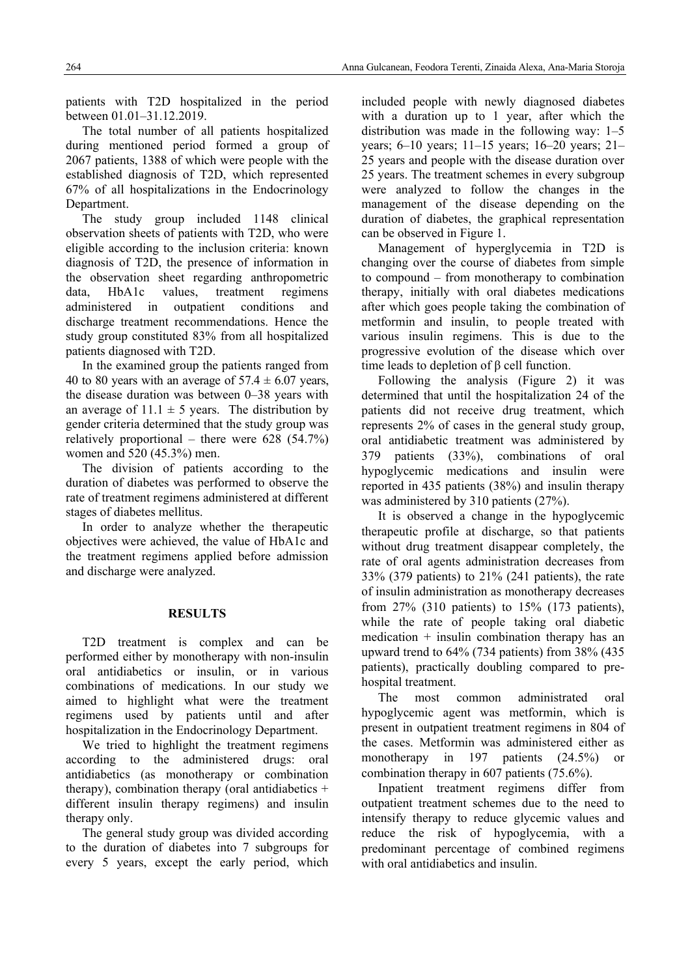patients with T2D hospitalized in the period between 01.01–31.12.2019.

The total number of all patients hospitalized during mentioned period formed a group of 2067 patients, 1388 of which were people with the established diagnosis of T2D, which represented 67% of all hospitalizations in the Endocrinology Department.

The study group included 1148 clinical observation sheets of patients with T2D, who were eligible according to the inclusion criteria: known diagnosis of T2D, the presence of information in the observation sheet regarding anthropometric data, HbA1c values, treatment regimens administered in outpatient conditions and discharge treatment recommendations. Hence the study group constituted 83% from all hospitalized patients diagnosed with T2D.

In the examined group the patients ranged from 40 to 80 years with an average of  $57.4 \pm 6.07$  years, the disease duration was between 0–38 years with an average of  $11.1 \pm 5$  years. The distribution by gender criteria determined that the study group was relatively proportional – there were  $628$   $(54.7\%)$ women and 520 (45.3%) men.

The division of patients according to the duration of diabetes was performed to observe the rate of treatment regimens administered at different stages of diabetes mellitus.

In order to analyze whether the therapeutic objectives were achieved, the value of HbA1c and the treatment regimens applied before admission and discharge were analyzed.

### **RESULTS**

T2D treatment is complex and can be performed either by monotherapy with non-insulin oral antidiabetics or insulin, or in various combinations of medications. In our study we aimed to highlight what were the treatment regimens used by patients until and after hospitalization in the Endocrinology Department.

We tried to highlight the treatment regimens according to the administered drugs: oral antidiabetics (as monotherapy or combination therapy), combination therapy (oral antidiabetics  $+$ different insulin therapy regimens) and insulin therapy only.

The general study group was divided according to the duration of diabetes into 7 subgroups for every 5 years, except the early period, which included people with newly diagnosed diabetes with a duration up to 1 year, after which the distribution was made in the following way: 1–5 years; 6–10 years; 11–15 years; 16–20 years; 21– 25 years and people with the disease duration over 25 years. The treatment schemes in every subgroup were analyzed to follow the changes in the management of the disease depending on the duration of diabetes, the graphical representation can be observed in Figure 1.

Management of hyperglycemia in T2D is changing over the course of diabetes from simple to compound – from monotherapy to combination therapy, initially with oral diabetes medications after which goes people taking the combination of metformin and insulin, to people treated with various insulin regimens. This is due to the progressive evolution of the disease which over time leads to depletion of β cell function.

Following the analysis (Figure 2) it was determined that until the hospitalization 24 of the patients did not receive drug treatment, which represents 2% of cases in the general study group, oral antidiabetic treatment was administered by 379 patients (33%), combinations of oral hypoglycemic medications and insulin were reported in 435 patients (38%) and insulin therapy was administered by 310 patients (27%).

It is observed a change in the hypoglycemic therapeutic profile at discharge, so that patients without drug treatment disappear completely, the rate of oral agents administration decreases from 33% (379 patients) to 21% (241 patients), the rate of insulin administration as monotherapy decreases from 27% (310 patients) to 15% (173 patients), while the rate of people taking oral diabetic medication  $+$  insulin combination therapy has an upward trend to 64% (734 patients) from 38% (435 patients), practically doubling compared to prehospital treatment.

The most common administrated oral hypoglycemic agent was metformin, which is present in outpatient treatment regimens in 804 of the cases. Metformin was administered either as monotherapy in 197 patients (24.5%) or combination therapy in 607 patients (75.6%).

Inpatient treatment regimens differ from outpatient treatment schemes due to the need to intensify therapy to reduce glycemic values and reduce the risk of hypoglycemia, with a predominant percentage of combined regimens with oral antidiabetics and insulin.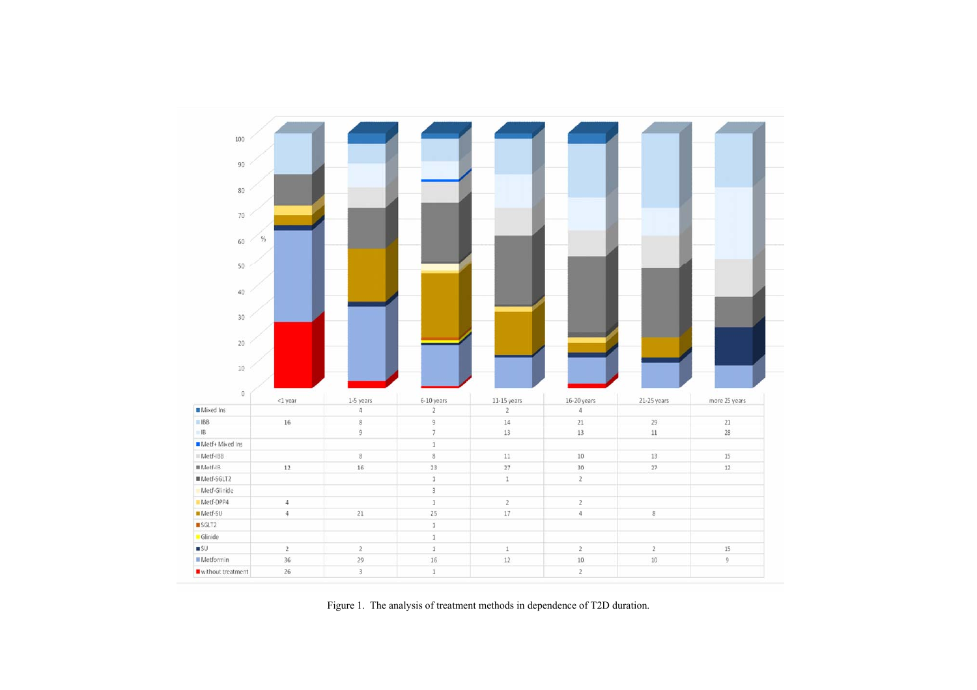

Figure 1. The analysis of treatment methods in dependence of T2D duration.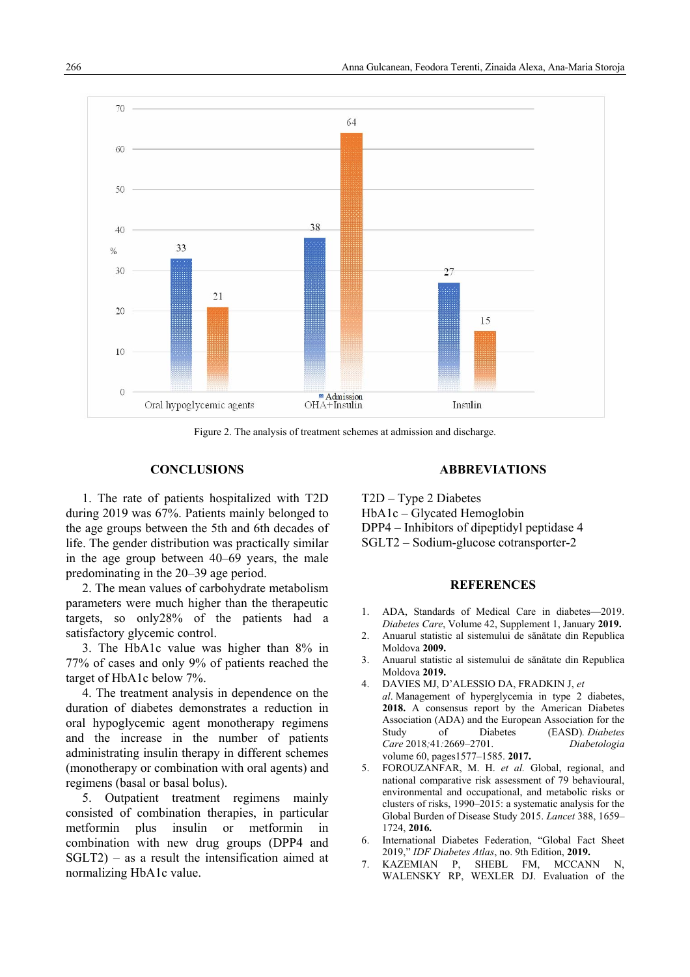

Figure 2. The analysis of treatment schemes at admission and discharge.

## **CONCLUSIONS**

1. The rate of patients hospitalized with T2D during 2019 was 67%. Patients mainly belonged to the age groups between the 5th and 6th decades of life. The gender distribution was practically similar in the age group between 40–69 years, the male predominating in the 20–39 age period.

2. The mean values of carbohydrate metabolism parameters were much higher than the therapeutic targets, so only28% of the patients had a satisfactory glycemic control.

3. The HbA1c value was higher than 8% in 77% of cases and only 9% of patients reached the target of HbA1c below 7%.

4. The treatment analysis in dependence on the duration of diabetes demonstrates a reduction in oral hypoglycemic agent monotherapy regimens and the increase in the number of patients administrating insulin therapy in different schemes (monotherapy or combination with oral agents) and regimens (basal or basal bolus).

5. Outpatient treatment regimens mainly consisted of combination therapies, in particular metformin plus insulin or metformin in combination with new drug groups (DPP4 and SGLT2) – as a result the intensification aimed at normalizing HbA1c value.

### **ABBREVIATIONS**

T2D – Type 2 Diabetes HbA1c – Glycated Hemoglobin

- DPP4 Inhibitors of dipeptidyl peptidase 4
- SGLT2 Sodium-glucose cotransporter-2

### **REFERENCES**

- 1. ADA, Standards of Medical Care in diabetes—2019. *Diabetes Care*, Volume 42, Supplement 1, January **2019.**
- 2. Anuarul statistic al sistemului de sănătate din Republica Moldova **2009.**
- 3. Anuarul statistic al sistemului de sănătate din Republica Moldova **2019.**
- 4. DAVIES MJ, D'ALESSIO DA, FRADKIN J, *et al*. Management of hyperglycemia in type 2 diabetes, **2018.** A consensus report by the American Diabetes Association (ADA) and the European Association for the Study of Diabetes (EASD)*. Diabetes Care* 2018*;*41*:*2669*–*2701. *Diabetologia*  volume 60, pages1577–1585. **2017.**
- 5. FOROUZANFAR, M. H. *et al.* Global, regional, and national comparative risk assessment of 79 behavioural, environmental and occupational, and metabolic risks or clusters of risks, 1990–2015: a systematic analysis for the Global Burden of Disease Study 2015. *Lancet* 388, 1659– 1724, **2016.**
- 6. International Diabetes Federation, "Global Fact Sheet 2019," *IDF Diabetes Atlas*, no. 9th Edition, **2019.**
- 7. KAZEMIAN P, SHEBL FM, MCCANN N, WALENSKY RP, WEXLER DJ. Evaluation of the